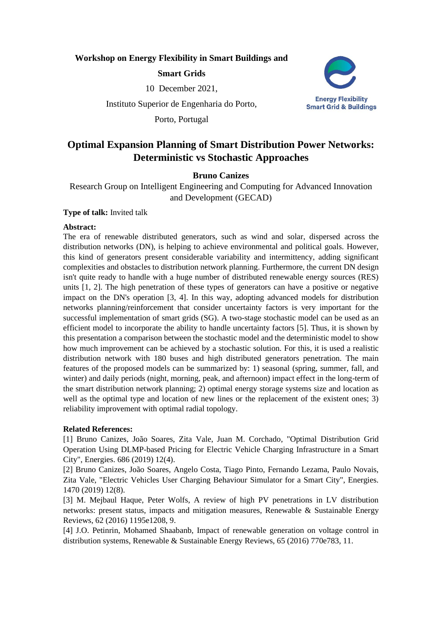## **Workshop on Energy Flexibility in Smart Buildings and**

# **Smart Grids**

10 December 2021,

Instituto Superior de Engenharia do Porto,

Porto, Portugal



# **Optimal Expansion Planning of Smart Distribution Power Networks: Deterministic vs Stochastic Approaches**

# **Bruno Canizes**

Research Group on Intelligent Engineering and Computing for Advanced Innovation and Development (GECAD)

### **Type of talk:** Invited talk

### **Abstract:**

The era of renewable distributed generators, such as wind and solar, dispersed across the distribution networks (DN), is helping to achieve environmental and political goals. However, this kind of generators present considerable variability and intermittency, adding significant complexities and obstacles to distribution network planning. Furthermore, the current DN design isn't quite ready to handle with a huge number of distributed renewable energy sources (RES) units [1, 2]. The high penetration of these types of generators can have a positive or negative impact on the DN's operation [3, 4]. In this way, adopting advanced models for distribution networks planning/reinforcement that consider uncertainty factors is very important for the successful implementation of smart grids (SG). A two-stage stochastic model can be used as an efficient model to incorporate the ability to handle uncertainty factors [5]. Thus, it is shown by this presentation a comparison between the stochastic model and the deterministic model to show how much improvement can be achieved by a stochastic solution. For this, it is used a realistic distribution network with 180 buses and high distributed generators penetration. The main features of the proposed models can be summarized by: 1) seasonal (spring, summer, fall, and winter) and daily periods (night, morning, peak, and afternoon) impact effect in the long-term of the smart distribution network planning; 2) optimal energy storage systems size and location as well as the optimal type and location of new lines or the replacement of the existent ones; 3) reliability improvement with optimal radial topology.

## **Related References:**

[1] Bruno Canizes, João Soares, Zita Vale, Juan M. Corchado, "Optimal Distribution Grid Operation Using DLMP-based Pricing for Electric Vehicle Charging Infrastructure in a Smart City", Energies. 686 (2019) 12(4).

[2] Bruno Canizes, João Soares, Angelo Costa, Tiago Pinto, Fernando Lezama, Paulo Novais, Zita Vale, "Electric Vehicles User Charging Behaviour Simulator for a Smart City", Energies. 1470 (2019) 12(8).

[3] M. Mejbaul Haque, Peter Wolfs, A review of high PV penetrations in LV distribution networks: present status, impacts and mitigation measures, Renewable & Sustainable Energy Reviews, 62 (2016) 1195e1208, 9.

[4] J.O. Petinrin, Mohamed Shaabanb, Impact of renewable generation on voltage control in distribution systems, Renewable & Sustainable Energy Reviews, 65 (2016) 770e783, 11.